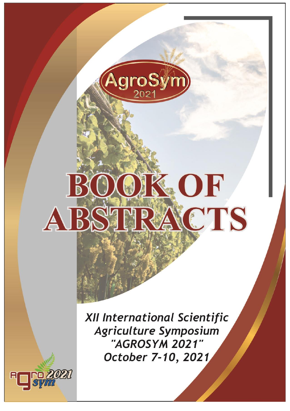

# OK OF  $B$ ABSTRACTS

XII International Scientific **Agriculture Symposium** "AGROSYM 2021" October 7-10, 2021

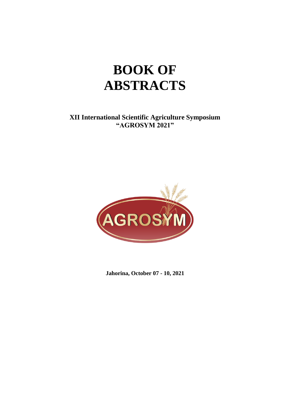## **BOOK OF ABSTRACTS**

**XII International Scientific Agriculture Symposium "AGROSYM 2021"**



**Jahorina, October 07 - 10, 2021**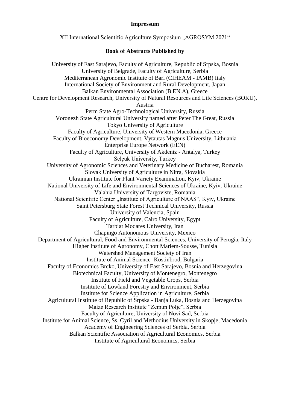#### **Impressum**

XII International Scientific Agriculture Symposium ..AGROSYM 2021" **Book of Abstracts Published by** University of East Sarajevo, Faculty of Agriculture, Republic of Srpska, Bosnia University of Belgrade, Faculty of Agriculture, Serbia Mediterranean Agronomic Institute of Bari (CIHEAM - IAMB) Italy International Society of Environment and Rural Development, Japan Balkan Environmental Association (B.EN.A), Greece Centre for Development Research, University of Natural Resources and Life Sciences (BOKU), Austria Perm State Agro-Technological University, Russia Voronezh State Agricultural University named after Peter The Great, Russia Tokyo University of Agriculture Faculty of Agriculture, University of Western Macedonia, Greece Faculty of Bioeconomy Development, Vytautas Magnus University, Lithuania Enterprise Europe Network (EEN) Faculty of Agriculture, University of Akdeniz - Antalya, Turkey Selçuk University, Turkey University of Agronomic Sciences and Veterinary Medicine of Bucharest, Romania Slovak University of Agriculture in Nitra, Slovakia Ukrainian Institute for Plant Variety Examination, Kyiv, Ukraine National University of Life and Environmental Sciences of Ukraine, Kyiv, Ukraine Valahia University of Targoviste, Romania National Scientific Center "Institute of Agriculture of NAAS", Kyiv, Ukraine Saint Petersburg State Forest Technical University, Russia University of Valencia, Spain Faculty of Agriculture, Cairo University, Egypt Tarbiat Modares University, Iran Chapingo Autonomous University, Mexico Department of Agricultural, Food and Environmental Sciences, University of Perugia, Italy Higher Institute of Agronomy, Chott Mariem-Sousse, Tunisia Watershed Management Society of Iran Institute of Animal Science- Kostinbrod, Bulgaria Faculty of Economics Brcko, University of East Sarajevo, Bosnia and Herzegovina Biotechnical Faculty, University of Montenegro, Montenegro Institute of Field and Vegetable Crops, Serbia Institute of Lowland Forestry and Environment, Serbia Institute for Science Application in Agriculture, Serbia Agricultural Institute of Republic of Srpska - Banja Luka, Bosnia and Herzegovina Maize Research Institute "Zemun Polje", Serbia Faculty of Agriculture, University of Novi Sad, Serbia Institute for Animal Science, Ss. Cyril and Methodius University in Skopje, Macedonia Academy of Engineering Sciences of Serbia, Serbia Balkan Scientific Association of Agricultural Economics, Serbia Institute of Agricultural Economics, Serbia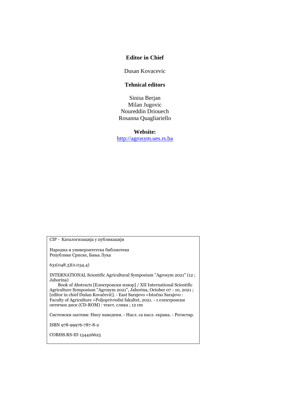#### **Editor in Chief**

Dusan Kovacevic

#### **Tehnical editors**

Sinisa Berjan Milan Jugovic Noureddin Driouech Rosanna Quagliariello

**Website:** [http://agrosym.ues.rs.ba](http://agrosym.ues.rs.ba/)

CIP - Каталогизација у публикацији

Народна и универзитетска библиотека Републике Српске, Бања Лука

631(048.3)(0.034.4)

INTERNATIONAL Scientific Agricultural Symposium "Agrosym 2021" (12 ; Jahorina)

 Book of Abstracts [Електронски извор] / XII International Scientific Agriculture Symposium "Agrosym 2021", Jahorina, October 07 - 10, 2021 ; [editor in chief Dušan Kovačević]. - East Sarajevo =Istočno Sarajevo : Faculty of Agriculture =Poljoprivredni fakultet, 2021. - 1 електронски оптички диск (CD-ROM) : текст, слика ; 12 cm

Системски захтеви: Нису наведени. - Насл. са насл. екрана. - Регистар.

ISBN 978-99976-787-8-2

COBISS.RS-ID 134426625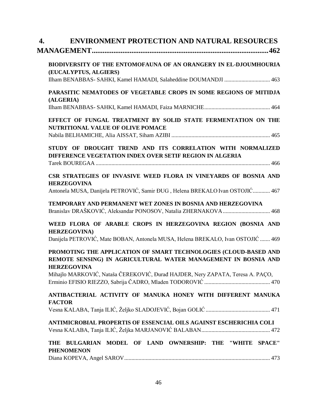| 4.                                                                                                                                                                                                                                         | <b>ENVIRONMENT PROTECTION AND NATURAL RESOURCES</b>            |
|--------------------------------------------------------------------------------------------------------------------------------------------------------------------------------------------------------------------------------------------|----------------------------------------------------------------|
| BIODIVERSITY OF THE ENTOMOFAUNA OF AN ORANGERY IN EL-DJOUMHOURIA                                                                                                                                                                           |                                                                |
| (EUCALYPTUS, ALGIERS)<br>Ilham BENABBAS- SAHKI, Kamel HAMADI, Salaheddine DOUMANDJI  463                                                                                                                                                   |                                                                |
| PARASITIC NEMATODES OF VEGETABLE CROPS IN SOME REGIONS OF MITIDJA<br>(ALGERIA)                                                                                                                                                             |                                                                |
|                                                                                                                                                                                                                                            |                                                                |
| EFFECT OF FUNGAL TREATMENT BY SOLID STATE FERMENTATION ON THE<br><b>NUTRITIONAL VALUE OF OLIVE POMACE</b>                                                                                                                                  |                                                                |
| STUDY OF DROUGHT TREND AND ITS CORRELATION WITH NORMALIZED<br>DIFFERENCE VEGETATION INDEX OVER SETIF REGION IN ALGERIA                                                                                                                     |                                                                |
|                                                                                                                                                                                                                                            |                                                                |
| CSR STRATEGIES OF INVASIVE WEED FLORA IN VINEYARDS OF BOSNIA AND                                                                                                                                                                           |                                                                |
| <b>HERZEGOVINA</b><br>Antonela MUSA, Danijela PETROVIĆ, Samir ĐUG, Helena BREKALO Ivan OSTOJIĆ 467                                                                                                                                         |                                                                |
| TEMPORARY AND PERMANENT WET ZONES IN BOSNIA AND HERZEGOVINA                                                                                                                                                                                |                                                                |
| WEED FLORA OF ARABLE CROPS IN HERZEGOVINA REGION (BOSNIA AND<br><b>HERZEGOVINA</b> )                                                                                                                                                       |                                                                |
| Danijela PETROVIĆ, Mate BOBAN, Antonela MUSA, Helena BREKALO, Ivan OSTOJIĆ  469                                                                                                                                                            |                                                                |
| PROMOTING THE APPLICATION OF SMART TECHNOLOGIES (CLOUD-BASED AND<br>REMOTE SENSING) IN AGRICULTURAL WATER MANAGEMENT IN BOSNIA AND<br><b>HERZEGOVINA</b><br>Mihajlo MARKOVIĆ, Nataša ČEREKOVIĆ, Đurađ HAJDER, Nery ZAPATA, Teresa A. PAÇO, |                                                                |
|                                                                                                                                                                                                                                            |                                                                |
| ANTIBACTERIAL ACTIVITY OF MANUKA HONEY WITH DIFFERENT MANUKA<br><b>FACTOR</b>                                                                                                                                                              |                                                                |
|                                                                                                                                                                                                                                            |                                                                |
| ANTIMICROBIAL PROPERTIS OF ESSENCIAL OILS AGAINST ESCHERICHIA COLI                                                                                                                                                                         |                                                                |
| THE BULGARIAN                                                                                                                                                                                                                              | MODEL OF LAND OWNERSHIP: THE<br><b>SPACE"</b><br><b>"WHITE</b> |
| <b>PHENOMENON</b>                                                                                                                                                                                                                          |                                                                |
|                                                                                                                                                                                                                                            |                                                                |